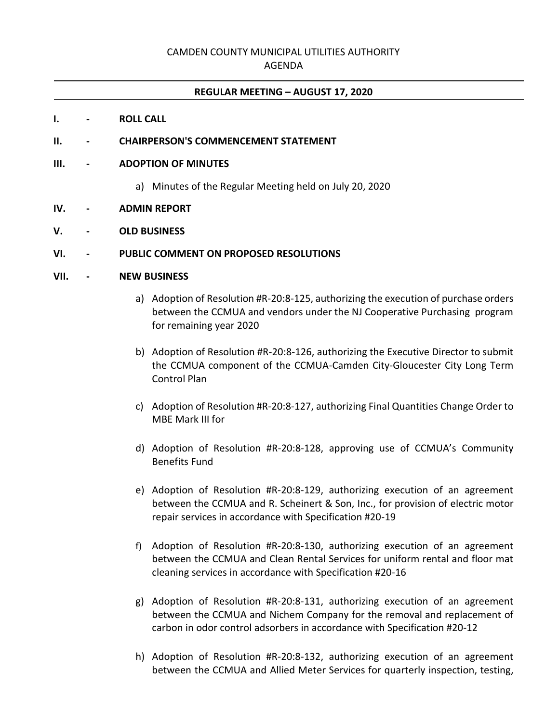# CAMDEN COUNTY MUNICIPAL UTILITIES AUTHORITY

AGENDA

## **REGULAR MEETING – AUGUST 17, 2020**

- **I. - ROLL CALL**
- **II. - CHAIRPERSON'S COMMENCEMENT STATEMENT**

### **III. - ADOPTION OF MINUTES**

- a) Minutes of the Regular Meeting held on July 20, 2020
- **IV. - ADMIN REPORT**
- **V. - OLD BUSINESS**

## **VI. - PUBLIC COMMENT ON PROPOSED RESOLUTIONS**

### **VII. - NEW BUSINESS**

- a) Adoption of Resolution #R-20:8-125, authorizing the execution of purchase orders between the CCMUA and vendors under the NJ Cooperative Purchasing program for remaining year 2020
- b) Adoption of Resolution #R-20:8-126, authorizing the Executive Director to submit the CCMUA component of the CCMUA-Camden City-Gloucester City Long Term Control Plan
- c) Adoption of Resolution #R-20:8-127, authorizing Final Quantities Change Order to MBE Mark III for
- d) Adoption of Resolution #R-20:8-128, approving use of CCMUA's Community Benefits Fund
- e) Adoption of Resolution #R-20:8-129, authorizing execution of an agreement between the CCMUA and R. Scheinert & Son, Inc., for provision of electric motor repair services in accordance with Specification #20-19
- f) Adoption of Resolution #R-20:8-130, authorizing execution of an agreement between the CCMUA and Clean Rental Services for uniform rental and floor mat cleaning services in accordance with Specification #20-16
- g) Adoption of Resolution #R-20:8-131, authorizing execution of an agreement between the CCMUA and Nichem Company for the removal and replacement of carbon in odor control adsorbers in accordance with Specification #20-12
- h) Adoption of Resolution #R-20:8-132, authorizing execution of an agreement between the CCMUA and Allied Meter Services for quarterly inspection, testing,